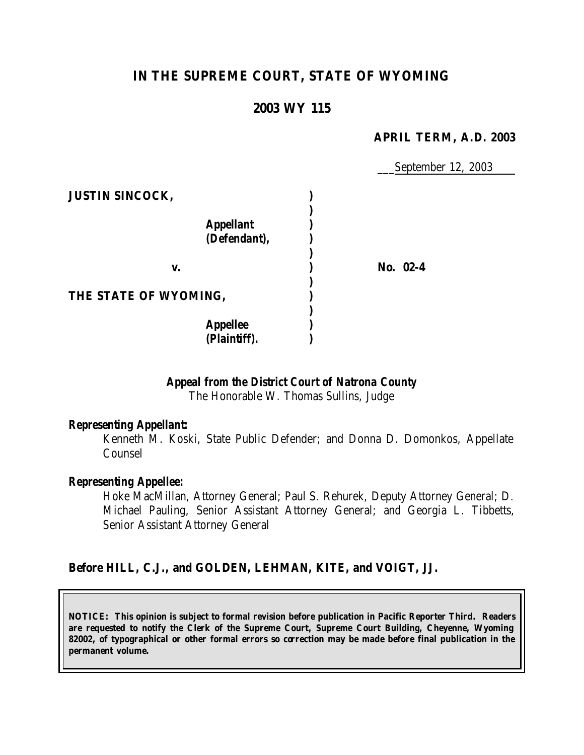# **IN THE SUPREME COURT, STATE OF WYOMING**

## **2003 WY 115**

#### **APRIL TERM, A.D. 2003**

\_\_\_September 12, 2003

| <b>JUSTIN SINCOCK,</b>           |            |
|----------------------------------|------------|
| <b>Appellant</b><br>(Defendant), |            |
| v.                               | No. $02-4$ |
| THE STATE OF WYOMING,            |            |
| <b>Appellee</b><br>(Plaintiff).  |            |

### *Appeal from the District Court of Natrona County*

The Honorable W. Thomas Sullins, Judge

#### *Representing Appellant:*

Kenneth M. Koski, State Public Defender; and Donna D. Domonkos, Appellate Counsel

#### *Representing Appellee:*

Hoke MacMillan, Attorney General; Paul S. Rehurek, Deputy Attorney General; D. Michael Pauling, Senior Assistant Attorney General; and Georgia L. Tibbetts, Senior Assistant Attorney General

#### **Before HILL, C.J., and GOLDEN, LEHMAN, KITE, and VOIGT, JJ.**

**NOTICE: This opinion is subject to formal revision before publication in Pacific Reporter Third. Readers are requested to notify the Clerk of the Supreme Court, Supreme Court Building, Cheyenne, Wyoming 82002, of typographical or other formal errors so correction may be made before final publication in the permanent volume.**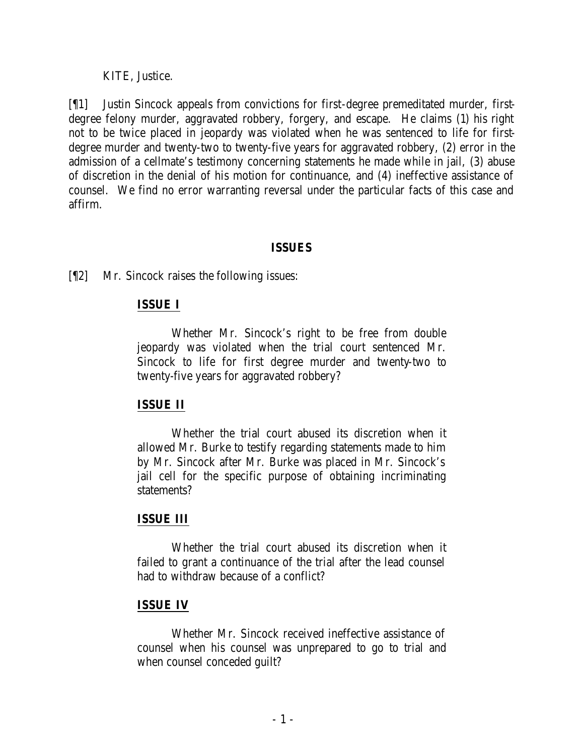KITE, Justice.

[¶1] Justin Sincock appeals from convictions for first-degree premeditated murder, firstdegree felony murder, aggravated robbery, forgery, and escape. He claims (1) his right not to be twice placed in jeopardy was violated when he was sentenced to life for firstdegree murder and twenty-two to twenty-five years for aggravated robbery, (2) error in the admission of a cellmate's testimony concerning statements he made while in jail, (3) abuse of discretion in the denial of his motion for continuance, and (4) ineffective assistance of counsel. We find no error warranting reversal under the particular facts of this case and affirm.

### **ISSUES**

[¶2] Mr. Sincock raises the following issues:

## **ISSUE I**

Whether Mr. Sincock's right to be free from double jeopardy was violated when the trial court sentenced Mr. Sincock to life for first degree murder and twenty-two to twenty-five years for aggravated robbery?

# **ISSUE II**

Whether the trial court abused its discretion when it allowed Mr. Burke to testify regarding statements made to him by Mr. Sincock after Mr. Burke was placed in Mr. Sincock's jail cell for the specific purpose of obtaining incriminating statements?

## **ISSUE III**

Whether the trial court abused its discretion when it failed to grant a continuance of the trial after the lead counsel had to withdraw because of a conflict?

## **ISSUE IV**

Whether Mr. Sincock received ineffective assistance of counsel when his counsel was unprepared to go to trial and when counsel conceded guilt?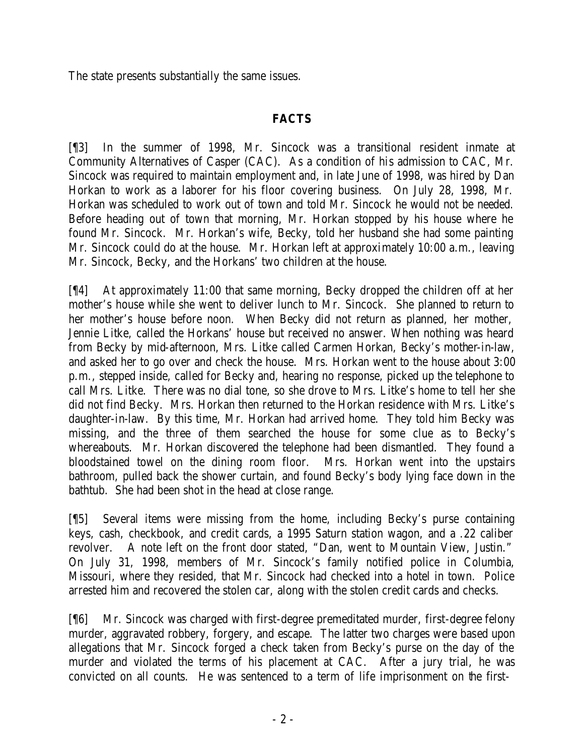The state presents substantially the same issues.

## **FACTS**

[¶3] In the summer of 1998, Mr. Sincock was a transitional resident inmate at Community Alternatives of Casper (CAC). As a condition of his admission to CAC, Mr. Sincock was required to maintain employment and, in late June of 1998, was hired by Dan Horkan to work as a laborer for his floor covering business. On July 28, 1998, Mr. Horkan was scheduled to work out of town and told Mr. Sincock he would not be needed. Before heading out of town that morning, Mr. Horkan stopped by his house where he found Mr. Sincock. Mr. Horkan's wife, Becky, told her husband she had some painting Mr. Sincock could do at the house. Mr. Horkan left at approximately 10:00 a.m., leaving Mr. Sincock, Becky, and the Horkans' two children at the house.

[¶4] At approximately 11:00 that same morning, Becky dropped the children off at her mother's house while she went to deliver lunch to Mr. Sincock. She planned to return to her mother's house before noon. When Becky did not return as planned, her mother, Jennie Litke, called the Horkans' house but received no answer. When nothing was heard from Becky by mid-afternoon, Mrs. Litke called Carmen Horkan, Becky's mother-in-law, and asked her to go over and check the house. Mrs. Horkan went to the house about 3:00 p.m., stepped inside, called for Becky and, hearing no response, picked up the telephone to call Mrs. Litke. There was no dial tone, so she drove to Mrs. Litke's home to tell her she did not find Becky. Mrs. Horkan then returned to the Horkan residence with Mrs. Litke's daughter-in-law. By this time, Mr. Horkan had arrived home. They told him Becky was missing, and the three of them searched the house for some clue as to Becky's whereabouts. Mr. Horkan discovered the telephone had been dismantled. They found a bloodstained towel on the dining room floor. Mrs. Horkan went into the upstairs bathroom, pulled back the shower curtain, and found Becky's body lying face down in the bathtub. She had been shot in the head at close range.

[¶5] Several items were missing from the home, including Becky's purse containing keys, cash, checkbook, and credit cards, a 1995 Saturn station wagon, and a .22 caliber revolver. A note left on the front door stated, "Dan, went to Mountain View, Justin." On July 31, 1998, members of Mr. Sincock's family notified police in Columbia, Missouri, where they resided, that Mr. Sincock had checked into a hotel in town. Police arrested him and recovered the stolen car, along with the stolen credit cards and checks.

[¶6] Mr. Sincock was charged with first-degree premeditated murder, first-degree felony murder, aggravated robbery, forgery, and escape. The latter two charges were based upon allegations that Mr. Sincock forged a check taken from Becky's purse on the day of the murder and violated the terms of his placement at CAC. After a jury trial, he was convicted on all counts. He was sentenced to a term of life imprisonment on the first-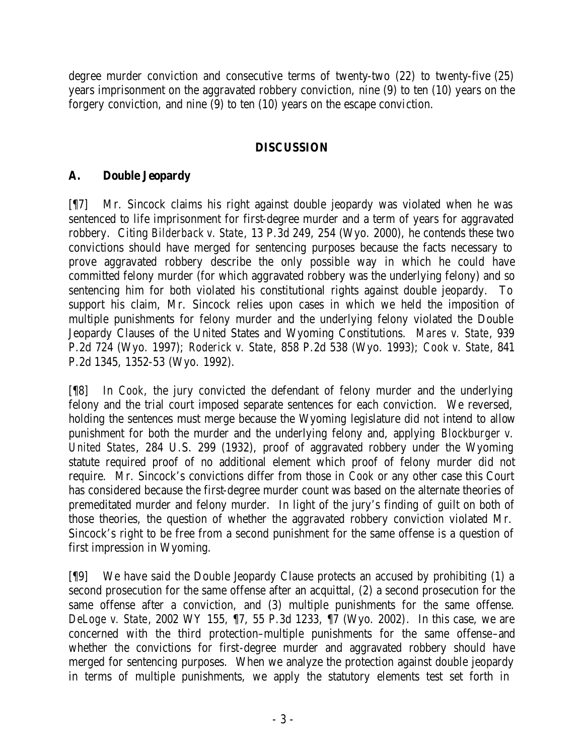degree murder conviction and consecutive terms of twenty-two (22) to twenty-five (25) years imprisonment on the aggravated robbery conviction, nine (9) to ten (10) years on the forgery conviction, and nine (9) to ten (10) years on the escape conviction.

## **DISCUSSION**

## **A. Double Jeopardy**

[¶7] Mr. Sincock claims his right against double jeopardy was violated when he was sentenced to life imprisonment for first-degree murder and a term of years for aggravated robbery. Citing *Bilderback v. State*, 13 P.3d 249, 254 (Wyo. 2000), he contends these two convictions should have merged for sentencing purposes because the facts necessary to prove aggravated robbery describe the only possible way in which he could have committed felony murder (for which aggravated robbery was the underlying felony) and so sentencing him for both violated his constitutional rights against double jeopardy. To support his claim, Mr. Sincock relies upon cases in which we held the imposition of multiple punishments for felony murder and the underlying felony violated the Double Jeopardy Clauses of the United States and Wyoming Constitutions. *Mares v. State*, 939 P.2d 724 (Wyo. 1997); *Roderick v. State*, 858 P.2d 538 (Wyo. 1993); *Cook v. State*, 841 P.2d 1345, 1352-53 (Wyo. 1992).

[¶8] In *Cook*, the jury convicted the defendant of felony murder and the underlying felony and the trial court imposed separate sentences for each conviction. We reversed, holding the sentences must merge because the Wyoming legislature did not intend to allow punishment for both the murder and the underlying felony and, applying *Blockburger v. United States*, 284 U.S. 299 (1932), proof of aggravated robbery under the Wyoming statute required proof of no additional element which proof of felony murder did not require. Mr. Sincock's convictions differ from those in *Cook* or any other case this Court has considered because the first-degree murder count was based on the alternate theories of premeditated murder and felony murder. In light of the jury's finding of guilt on both of those theories, the question of whether the aggravated robbery conviction violated Mr. Sincock's right to be free from a second punishment for the same offense is a question of first impression in Wyoming.

[¶9] We have said the Double Jeopardy Clause protects an accused by prohibiting (1) a second prosecution for the same offense after an acquittal, (2) a second prosecution for the same offense after a conviction, and (3) multiple punishments for the same offense. *DeLoge v. State*, 2002 WY 155, ¶7, 55 P.3d 1233, ¶7 (Wyo. 2002). In this case, we are concerned with the third protection–multiple punishments for the same offense–and whether the convictions for first-degree murder and aggravated robbery should have merged for sentencing purposes. When we analyze the protection against double jeopardy in terms of multiple punishments, we apply the statutory elements test set forth in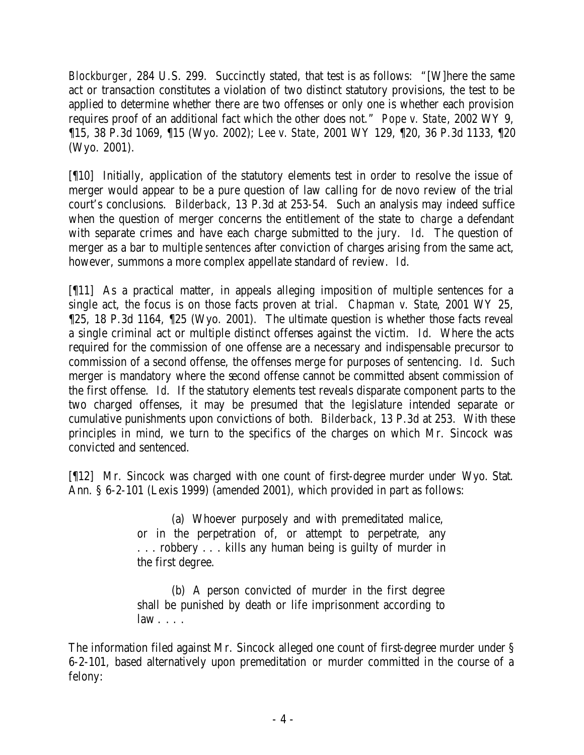*Blockburger*, 284 U.S. 299. Succinctly stated, that test is as follows: "[W]here the same act or transaction constitutes a violation of two distinct statutory provisions, the test to be applied to determine whether there are two offenses or only one is whether each provision requires proof of an additional fact which the other does not." *Pope v. State*, 2002 WY 9, ¶15, 38 P.3d 1069, ¶15 (Wyo. 2002); *Lee v. State*, 2001 WY 129, ¶20, 36 P.3d 1133, ¶20 (Wyo. 2001).

[¶10] Initially, application of the statutory elements test in order to resolve the issue of merger would appear to be a pure question of law calling for de novo review of the trial court's conclusions. *Bilderback*, 13 P.3d at 253-54. Such an analysis may indeed suffice when the question of merger concerns the entitlement of the state to *charge* a defendant with separate crimes and have each charge submitted to the jury. *Id*. The question of merger as a bar to multiple *sentences* after conviction of charges arising from the same act, however, summons a more complex appellate standard of review. *Id*.

[¶11] As a practical matter, in appeals alleging imposition of multiple sentences for a single act, the focus is on those facts proven at trial. *Chapman v. State*, 2001 WY 25, ¶25, 18 P.3d 1164, ¶25 (Wyo. 2001). The ultimate question is whether those facts reveal a single criminal act or multiple distinct offenses against the victim. *Id*. Where the acts required for the commission of one offense are a necessary and indispensable precursor to commission of a second offense, the offenses merge for purposes of sentencing. *Id*. Such merger is mandatory where the second offense cannot be committed absent commission of the first offense. *Id*. If the statutory elements test reveals disparate component parts to the two charged offenses, it may be presumed that the legislature intended separate or cumulative punishments upon convictions of both. *Bilderback*, 13 P.3d at 253. With these principles in mind, we turn to the specifics of the charges on which Mr. Sincock was convicted and sentenced.

[¶12] Mr. Sincock was charged with one count of first-degree murder under Wyo. Stat. Ann. § 6-2-101 (Lexis 1999) (amended 2001), which provided in part as follows:

> (a) Whoever purposely and with premeditated malice, or in the perpetration of, or attempt to perpetrate, any . . . robbery . . . kills any human being is guilty of murder in the first degree.

> (b) A person convicted of murder in the first degree shall be punished by death or life imprisonment according to law . . . .

The information filed against Mr. Sincock alleged one count of first-degree murder under § 6-2-101, based alternatively upon premeditation *or* murder committed in the course of a felony: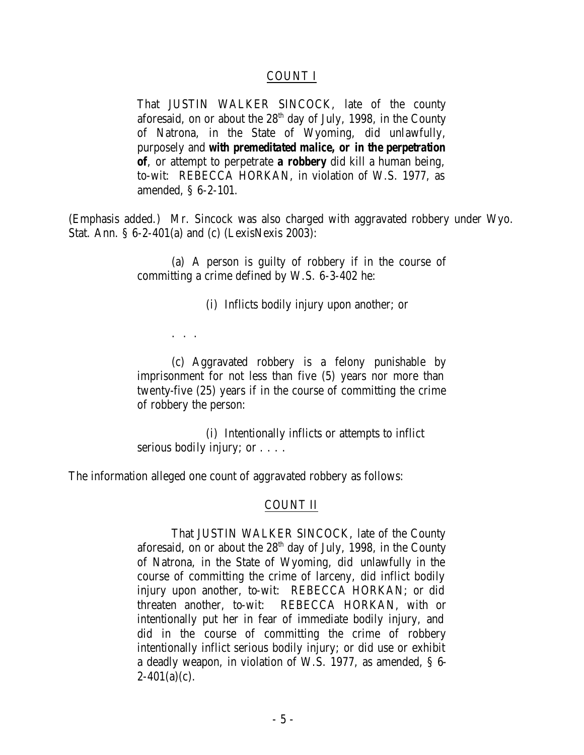#### COUNT I

That JUSTIN WALKER SINCOCK, late of the county aforesaid, on or about the  $28<sup>th</sup>$  day of July, 1998, in the County of Natrona, in the State of Wyoming, did unlawfully, purposely and *with premeditated malice, or in the perpetration of*, or attempt to perpetrate *a robbery* did kill a human being, to-wit: REBECCA HORKAN, in violation of W.S. 1977, as amended, § 6-2-101.

(Emphasis added.) Mr. Sincock was also charged with aggravated robbery under Wyo. Stat. Ann. § 6-2-401(a) and (c) (LexisNexis 2003):

> (a) A person is guilty of robbery if in the course of committing a crime defined by W.S. 6-3-402 he:

> > (i) Inflicts bodily injury upon another; or

. . .

(c) Aggravated robbery is a felony punishable by imprisonment for not less than five (5) years nor more than twenty-five (25) years if in the course of committing the crime of robbery the person:

(i) Intentionally inflicts or attempts to inflict serious bodily injury; or . . . .

The information alleged one count of aggravated robbery as follows:

#### COUNT II

That JUSTIN WALKER SINCOCK, late of the County aforesaid, on or about the  $28<sup>th</sup>$  day of July, 1998, in the County of Natrona, in the State of Wyoming, did unlawfully in the course of committing the crime of larceny, did inflict bodily injury upon another, to-wit: REBECCA HORKAN; or did threaten another, to-wit: REBECCA HORKAN, with or intentionally put her in fear of immediate bodily injury, and did in the course of committing the crime of robbery intentionally inflict serious bodily injury; or did use or exhibit a deadly weapon, in violation of W.S. 1977, as amended, § 6-  $2-401(a)(c)$ .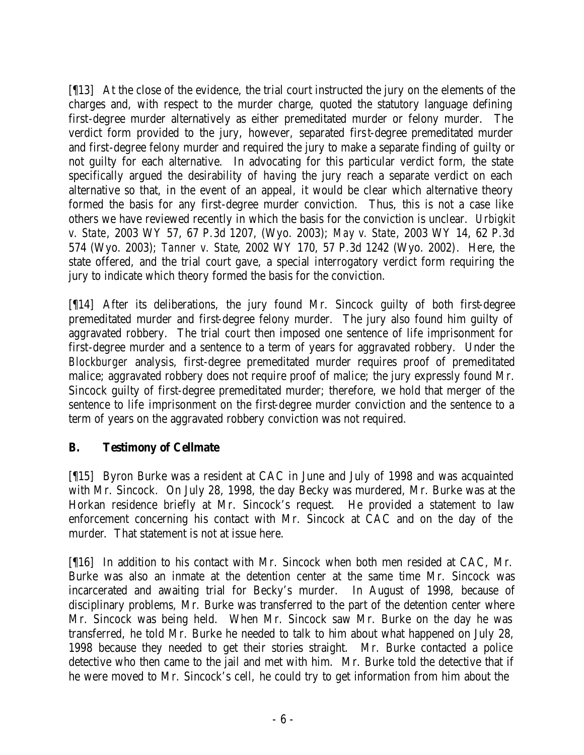[¶13] At the close of the evidence, the trial court instructed the jury on the elements of the charges and, with respect to the murder charge, quoted the statutory language defining first-degree murder alternatively as either premeditated murder or felony murder. The verdict form provided to the jury, however, separated first-degree premeditated murder and first-degree felony murder and required the jury to make a separate finding of guilty or not guilty for each alternative. In advocating for this particular verdict form, the state specifically argued the desirability of having the jury reach a separate verdict on each alternative so that, in the event of an appeal, it would be clear which alternative theory formed the basis for any first-degree murder conviction. Thus, this is not a case like others we have reviewed recently in which the basis for the conviction is unclear. *Urbigkit v. State*, 2003 WY 57, 67 P.3d 1207, (Wyo. 2003); *May v. State*, 2003 WY 14, 62 P.3d 574 (Wyo. 2003); *Tanner v. State*, 2002 WY 170, 57 P.3d 1242 (Wyo. 2002). Here, the state offered, and the trial court gave, a special interrogatory verdict form requiring the jury to indicate which theory formed the basis for the conviction.

[¶14] After its deliberations, the jury found Mr. Sincock guilty of both first-degree premeditated murder and first-degree felony murder. The jury also found him guilty of aggravated robbery. The trial court then imposed one sentence of life imprisonment for first-degree murder and a sentence to a term of years for aggravated robbery. Under the *Blockburger* analysis, first-degree premeditated murder requires proof of premeditated malice; aggravated robbery does not require proof of malice; the jury expressly found Mr. Sincock guilty of first-degree premeditated murder; therefore, we hold that merger of the sentence to life imprisonment on the first-degree murder conviction and the sentence to a term of years on the aggravated robbery conviction was not required.

# **B. Testimony of Cellmate**

[¶15] Byron Burke was a resident at CAC in June and July of 1998 and was acquainted with Mr. Sincock. On July 28, 1998, the day Becky was murdered, Mr. Burke was at the Horkan residence briefly at Mr. Sincock's request. He provided a statement to law enforcement concerning his contact with Mr. Sincock at CAC and on the day of the murder. That statement is not at issue here.

[¶16] In addition to his contact with Mr. Sincock when both men resided at CAC, Mr. Burke was also an inmate at the detention center at the same time Mr. Sincock was incarcerated and awaiting trial for Becky's murder. In August of 1998, because of disciplinary problems, Mr. Burke was transferred to the part of the detention center where Mr. Sincock was being held. When Mr. Sincock saw Mr. Burke on the day he was transferred, he told Mr. Burke he needed to talk to him about what happened on July 28, 1998 because they needed to get their stories straight. Mr. Burke contacted a police detective who then came to the jail and met with him. Mr. Burke told the detective that if he were moved to Mr. Sincock's cell, he could try to get information from him about the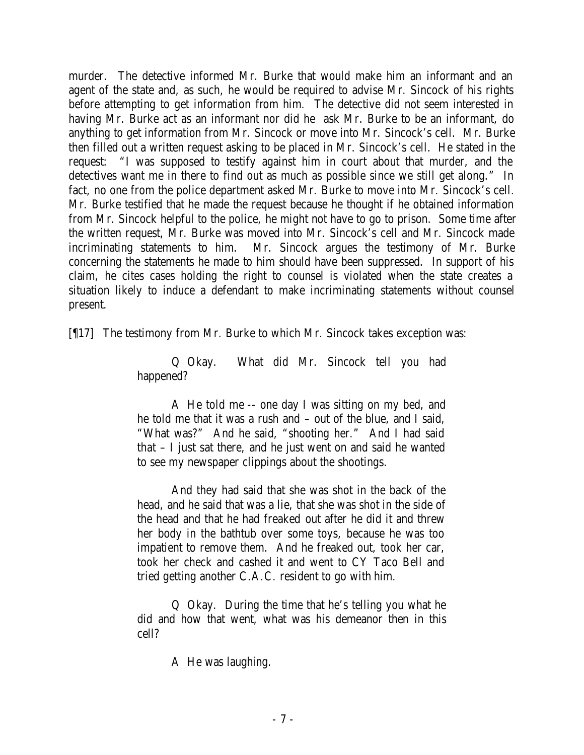murder. The detective informed Mr. Burke that would make him an informant and an agent of the state and, as such, he would be required to advise Mr. Sincock of his rights before attempting to get information from him. The detective did not seem interested in having Mr. Burke act as an informant nor did he ask Mr. Burke to be an informant, do anything to get information from Mr. Sincock or move into Mr. Sincock's cell. Mr. Burke then filled out a written request asking to be placed in Mr. Sincock's cell. He stated in the request: "I was supposed to testify against him in court about that murder, and the detectives want me in there to find out as much as possible since we still get along." In fact, no one from the police department asked Mr. Burke to move into Mr. Sincock's cell. Mr. Burke testified that he made the request because he thought if he obtained information from Mr. Sincock helpful to the police, he might not have to go to prison. Some time after the written request, Mr. Burke was moved into Mr. Sincock's cell and Mr. Sincock made incriminating statements to him. Mr. Sincock argues the testimony of Mr. Burke concerning the statements he made to him should have been suppressed. In support of his claim, he cites cases holding the right to counsel is violated when the state creates a situation likely to induce a defendant to make incriminating statements without counsel present.

[¶17] The testimony from Mr. Burke to which Mr. Sincock takes exception was:

Q Okay. What did Mr. Sincock tell you had happened?

A He told me -- one day I was sitting on my bed, and he told me that it was a rush and – out of the blue, and I said, "What was?" And he said, "shooting her." And I had said that – I just sat there, and he just went on and said he wanted to see my newspaper clippings about the shootings.

And they had said that she was shot in the back of the head, and he said that was a lie, that she was shot in the side of the head and that he had freaked out after he did it and threw her body in the bathtub over some toys, because he was too impatient to remove them. And he freaked out, took her car, took her check and cashed it and went to CY Taco Bell and tried getting another C.A.C. resident to go with him.

Q Okay. During the time that he's telling you what he did and how that went, what was his demeanor then in this cell?

A He was laughing.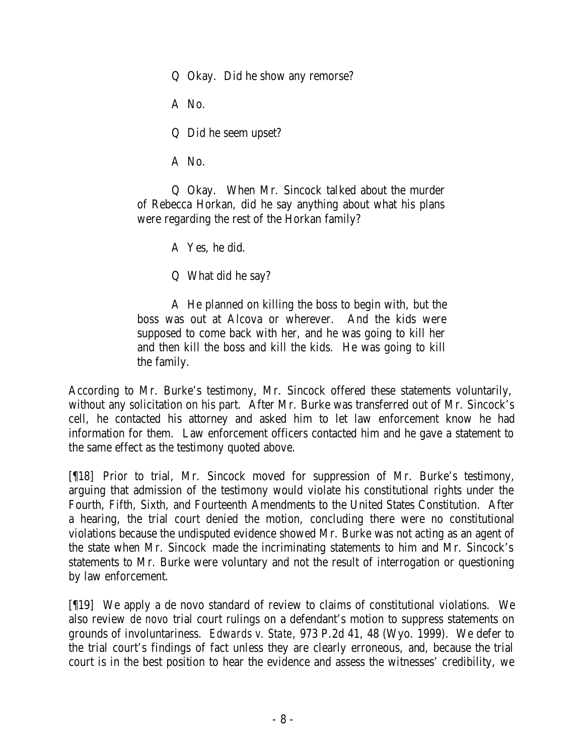Q Okay. Did he show any remorse?

A No.

Q Did he seem upset?

A No.

Q Okay. When Mr. Sincock talked about the murder of Rebecca Horkan, did he say anything about what his plans were regarding the rest of the Horkan family?

A Yes, he did.

Q What did he say?

A He planned on killing the boss to begin with, but the boss was out at Alcova or wherever. And the kids were supposed to come back with her, and he was going to kill her and then kill the boss and kill the kids. He was going to kill the family.

According to Mr. Burke's testimony, Mr. Sincock offered these statements voluntarily, without any solicitation on his part. After Mr. Burke was transferred out of Mr. Sincock's cell, he contacted his attorney and asked him to let law enforcement know he had information for them. Law enforcement officers contacted him and he gave a statement to the same effect as the testimony quoted above.

[¶18] Prior to trial, Mr. Sincock moved for suppression of Mr. Burke's testimony, arguing that admission of the testimony would violate his constitutional rights under the Fourth, Fifth, Sixth, and Fourteenth Amendments to the United States Constitution. After a hearing, the trial court denied the motion, concluding there were no constitutional violations because the undisputed evidence showed Mr. Burke was not acting as an agent of the state when Mr. Sincock made the incriminating statements to him and Mr. Sincock's statements to Mr. Burke were voluntary and not the result of interrogation or questioning by law enforcement.

[¶19] We apply a de novo standard of review to claims of constitutional violations. We also review *de novo* trial court rulings on a defendant's motion to suppress statements on grounds of involuntariness. *Edwards v. State*, 973 P.2d 41, 48 (Wyo. 1999). We defer to the trial court's findings of fact unless they are clearly erroneous, and, because the trial court is in the best position to hear the evidence and assess the witnesses' credibility, we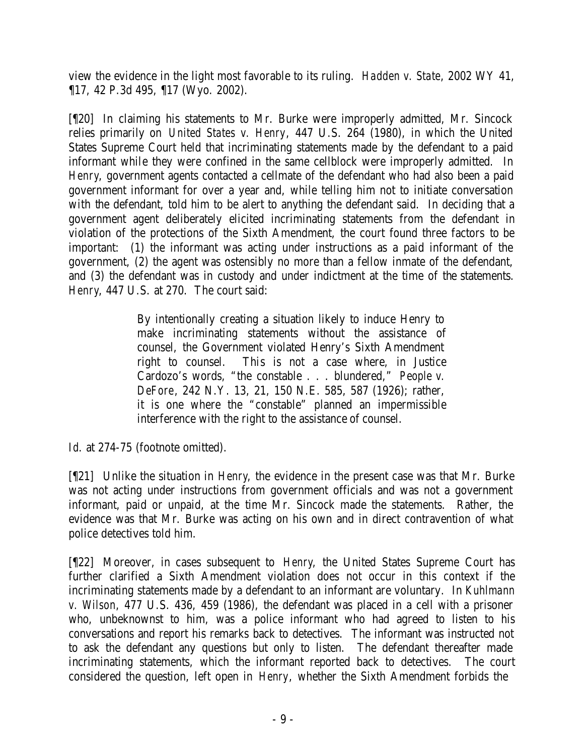view the evidence in the light most favorable to its ruling. *Hadden v. State*, 2002 WY 41, ¶17, 42 P.3d 495, ¶17 (Wyo. 2002).

[¶20] In claiming his statements to Mr. Burke were improperly admitted, Mr. Sincock relies primarily on *United States v. Henry*, 447 U.S. 264 (1980), in which the United States Supreme Court held that incriminating statements made by the defendant to a paid informant while they were confined in the same cellblock were improperly admitted. In *Henry*, government agents contacted a cellmate of the defendant who had also been a paid government informant for over a year and, while telling him not to initiate conversation with the defendant, told him to be alert to anything the defendant said. In deciding that a government agent deliberately elicited incriminating statements from the defendant in violation of the protections of the Sixth Amendment, the court found three factors to be important: (1) the informant was acting under instructions as a paid informant of the government, (2) the agent was ostensibly no more than a fellow inmate of the defendant, and (3) the defendant was in custody and under indictment at the time of the statements. *Henry*, 447 U.S. at 270. The court said:

> By intentionally creating a situation likely to induce Henry to make incriminating statements without the assistance of counsel, the Government violated Henry's Sixth Amendment right to counsel. This is not a case where, in Justice Cardozo's words, "the constable . . . blundered," *People v. DeFore*, 242 N.Y. 13, 21, 150 N.E. 585, 587 (1926); rather, it is one where the "constable" planned an impermissible interference with the right to the assistance of counsel.

Id. at 274-75 (footnote omitted).

[¶21] Unlike the situation in *Henry*, the evidence in the present case was that Mr. Burke was not acting under instructions from government officials and was not a government informant, paid or unpaid, at the time Mr. Sincock made the statements. Rather, the evidence was that Mr. Burke was acting on his own and in direct contravention of what police detectives told him.

[¶22] Moreover, in cases subsequent to *Henry*, the United States Supreme Court has further clarified a Sixth Amendment violation does not occur in this context if the incriminating statements made by a defendant to an informant are voluntary. In *Kuhlmann v. Wilson*, 477 U.S. 436, 459 (1986), the defendant was placed in a cell with a prisoner who, unbeknownst to him, was a police informant who had agreed to listen to his conversations and report his remarks back to detectives. The informant was instructed not to ask the defendant any questions but only to listen. The defendant thereafter made incriminating statements, which the informant reported back to detectives. The court considered the question, left open in *Henry*, whether the Sixth Amendment forbids the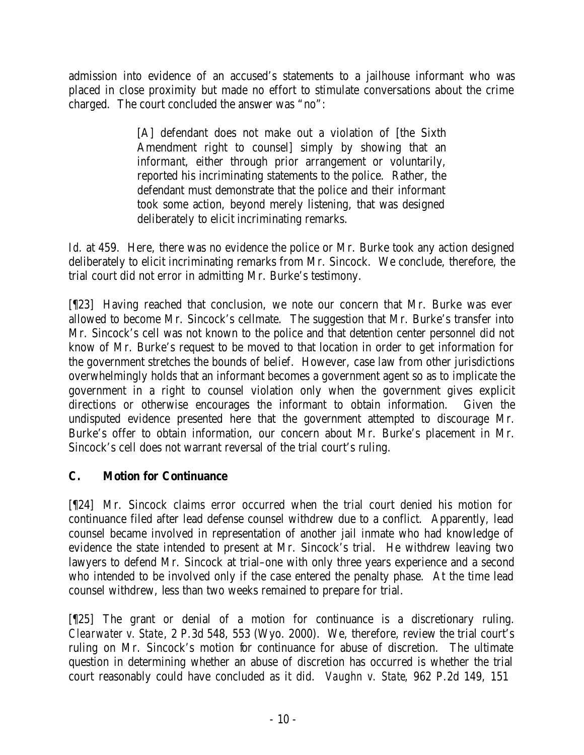admission into evidence of an accused's statements to a jailhouse informant who was placed in close proximity but made no effort to stimulate conversations about the crime charged. The court concluded the answer was "no":

> [A] defendant does not make out a violation of [the Sixth Amendment right to counsel] simply by showing that an informant, either through prior arrangement or voluntarily, reported his incriminating statements to the police. Rather, the defendant must demonstrate that the police and their informant took some action, beyond merely listening, that was designed deliberately to elicit incriminating remarks.

*Id.* at 459. Here, there was no evidence the police or Mr. Burke took any action designed deliberately to elicit incriminating remarks from Mr. Sincock. We conclude, therefore, the trial court did not error in admitting Mr. Burke's testimony.

[¶23] Having reached that conclusion, we note our concern that Mr. Burke was ever allowed to become Mr. Sincock's cellmate. The suggestion that Mr. Burke's transfer into Mr. Sincock's cell was not known to the police and that detention center personnel did not know of Mr. Burke's request to be moved to that location in order to get information for the government stretches the bounds of belief. However, case law from other jurisdictions overwhelmingly holds that an informant becomes a government agent so as to implicate the government in a right to counsel violation only when the government gives explicit directions or otherwise encourages the informant to obtain information. Given the undisputed evidence presented here that the government attempted to discourage Mr. Burke's offer to obtain information, our concern about Mr. Burke's placement in Mr. Sincock's cell does not warrant reversal of the trial court's ruling.

# **C. Motion for Continuance**

[¶24] Mr. Sincock claims error occurred when the trial court denied his motion for continuance filed after lead defense counsel withdrew due to a conflict. Apparently, lead counsel became involved in representation of another jail inmate who had knowledge of evidence the state intended to present at Mr. Sincock's trial. He withdrew leaving two lawyers to defend Mr. Sincock at trial–one with only three years experience and a second who intended to be involved only if the case entered the penalty phase. At the time lead counsel withdrew, less than two weeks remained to prepare for trial.

[¶25] The grant or denial of a motion for continuance is a discretionary ruling. *Clearwater v. State*, 2 P.3d 548, 553 (Wyo. 2000). We, therefore, review the trial court's ruling on Mr. Sincock's motion for continuance for abuse of discretion. The ultimate question in determining whether an abuse of discretion has occurred is whether the trial court reasonably could have concluded as it did. *Vaughn v. State*, 962 P.2d 149, 151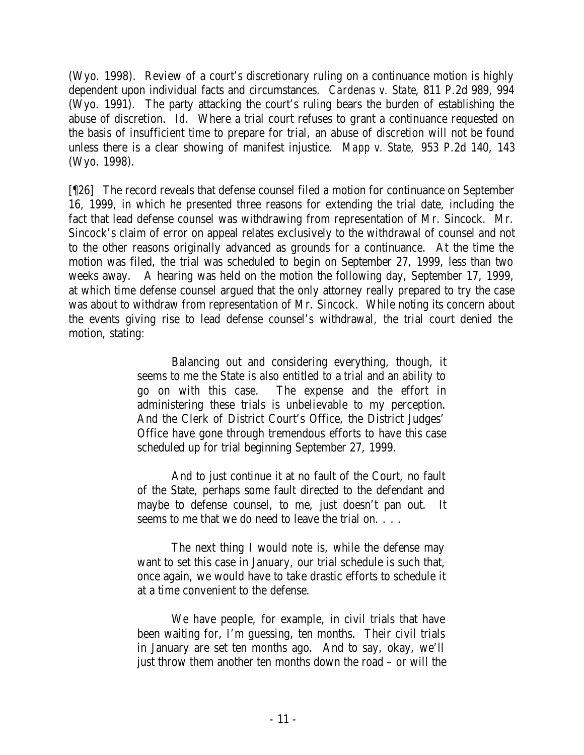(Wyo. 1998). Review of a court's discretionary ruling on a continuance motion is highly dependent upon individual facts and circumstances. *Cardenas v. State*, 811 P.2d 989, 994 (Wyo. 1991). The party attacking the court's ruling bears the burden of establishing the abuse of discretion. *Id.* Where a trial court refuses to grant a continuance requested on the basis of insufficient time to prepare for trial, an abuse of discretion will not be found unless there is a clear showing of manifest injustice. *Mapp v. State,* 953 P.2d 140, 143 (Wyo. 1998).

[¶26] The record reveals that defense counsel filed a motion for continuance on September 16, 1999, in which he presented three reasons for extending the trial date, including the fact that lead defense counsel was withdrawing from representation of Mr. Sincock. Mr. Sincock's claim of error on appeal relates exclusively to the withdrawal of counsel and not to the other reasons originally advanced as grounds for a continuance. At the time the motion was filed, the trial was scheduled to begin on September 27, 1999, less than two weeks away. A hearing was held on the motion the following day, September 17, 1999, at which time defense counsel argued that the only attorney really prepared to try the case was about to withdraw from representation of Mr. Sincock. While noting its concern about the events giving rise to lead defense counsel's withdrawal, the trial court denied the motion, stating:

> Balancing out and considering everything, though, it seems to me the State is also entitled to a trial and an ability to go on with this case. The expense and the effort in administering these trials is unbelievable to my perception. And the Clerk of District Court's Office, the District Judges' Office have gone through tremendous efforts to have this case scheduled up for trial beginning September 27, 1999.

> And to just continue it at no fault of the Court, no fault of the State, perhaps some fault directed to the defendant and maybe to defense counsel, to me, just doesn't pan out. It seems to me that we do need to leave the trial on. . . .

> The next thing I would note is, while the defense may want to set this case in January, our trial schedule is such that, once again, we would have to take drastic efforts to schedule it at a time convenient to the defense.

> We have people, for example, in civil trials that have been waiting for, I'm guessing, ten months. Their civil trials in January are set ten months ago. And to say, okay, we'll just throw them another ten months down the road – or will the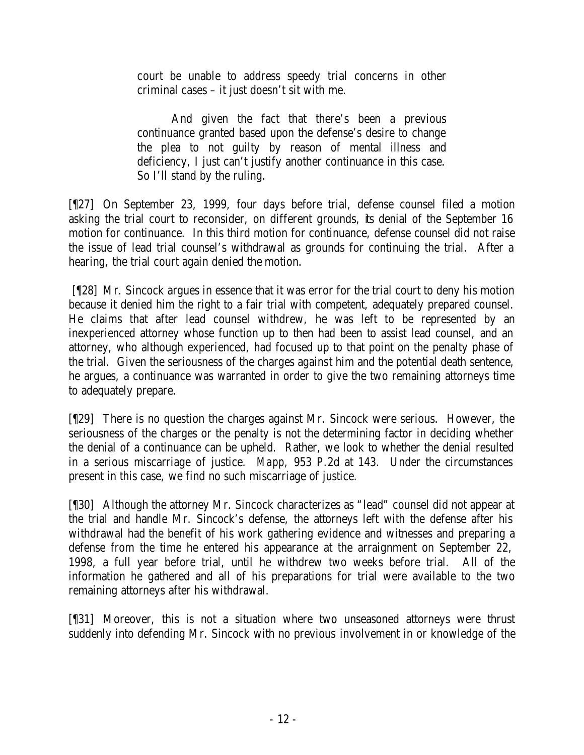court be unable to address speedy trial concerns in other criminal cases – it just doesn't sit with me.

And given the fact that there's been a previous continuance granted based upon the defense's desire to change the plea to not guilty by reason of mental illness and deficiency, I just can't justify another continuance in this case. So I'll stand by the ruling.

[¶27] On September 23, 1999, four days before trial, defense counsel filed a motion asking the trial court to reconsider, on different grounds, its denial of the September 16 motion for continuance. In this third motion for continuance, defense counsel did not raise the issue of lead trial counsel's withdrawal as grounds for continuing the trial. After a hearing, the trial court again denied the motion.

 [¶28] Mr. Sincock argues in essence that it was error for the trial court to deny his motion because it denied him the right to a fair trial with competent, adequately prepared counsel. He claims that after lead counsel withdrew, he was left to be represented by an inexperienced attorney whose function up to then had been to assist lead counsel, and an attorney, who although experienced, had focused up to that point on the penalty phase of the trial. Given the seriousness of the charges against him and the potential death sentence, he argues, a continuance was warranted in order to give the two remaining attorneys time to adequately prepare.

[¶29] There is no question the charges against Mr. Sincock were serious. However, the seriousness of the charges or the penalty is not the determining factor in deciding whether the denial of a continuance can be upheld. Rather, we look to whether the denial resulted in a serious miscarriage of justice. *Mapp,* 953 P.2d at 143. Under the circumstances present in this case, we find no such miscarriage of justice.

[¶30] Although the attorney Mr. Sincock characterizes as "lead" counsel did not appear at the trial and handle Mr. Sincock's defense, the attorneys left with the defense after his withdrawal had the benefit of his work gathering evidence and witnesses and preparing a defense from the time he entered his appearance at the arraignment on September 22, 1998, a full year before trial, until he withdrew two weeks before trial. All of the information he gathered and all of his preparations for trial were available to the two remaining attorneys after his withdrawal.

[¶31] Moreover, this is not a situation where two unseasoned attorneys were thrust suddenly into defending Mr. Sincock with no previous involvement in or knowledge of the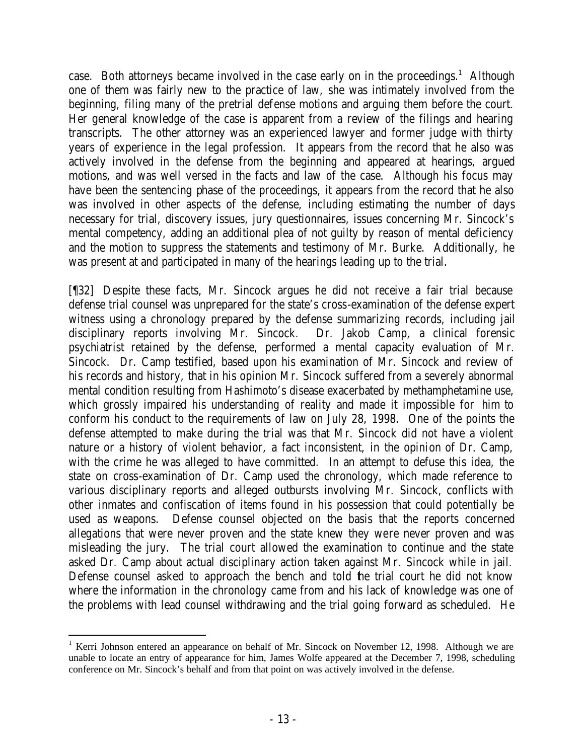case. Both attorneys became involved in the case early on in the proceedings.<sup>1</sup> Although one of them was fairly new to the practice of law, she was intimately involved from the beginning, filing many of the pretrial defense motions and arguing them before the court. Her general knowledge of the case is apparent from a review of the filings and hearing transcripts. The other attorney was an experienced lawyer and former judge with thirty years of experience in the legal profession. It appears from the record that he also was actively involved in the defense from the beginning and appeared at hearings, argued motions, and was well versed in the facts and law of the case. Although his focus may have been the sentencing phase of the proceedings, it appears from the record that he also was involved in other aspects of the defense, including estimating the number of days necessary for trial, discovery issues, jury questionnaires, issues concerning Mr. Sincock's mental competency, adding an additional plea of not guilty by reason of mental deficiency and the motion to suppress the statements and testimony of Mr. Burke. Additionally, he was present at and participated in many of the hearings leading up to the trial.

[¶32] Despite these facts, Mr. Sincock argues he did not receive a fair trial because defense trial counsel was unprepared for the state's cross-examination of the defense expert witness using a chronology prepared by the defense summarizing records, including jail disciplinary reports involving Mr. Sincock. Dr. Jakob Camp, a clinical forensic psychiatrist retained by the defense, performed a mental capacity evaluation of Mr. Sincock. Dr. Camp testified, based upon his examination of Mr. Sincock and review of his records and history, that in his opinion Mr. Sincock suffered from a severely abnormal mental condition resulting from Hashimoto's disease exacerbated by methamphetamine use, which grossly impaired his understanding of reality and made it impossible for him to conform his conduct to the requirements of law on July 28, 1998. One of the points the defense attempted to make during the trial was that Mr. Sincock did not have a violent nature or a history of violent behavior, a fact inconsistent, in the opinion of Dr. Camp, with the crime he was alleged to have committed. In an attempt to defuse this idea, the state on cross-examination of Dr. Camp used the chronology, which made reference to various disciplinary reports and alleged outbursts involving Mr. Sincock, conflicts with other inmates and confiscation of items found in his possession that could potentially be used as weapons. Defense counsel objected on the basis that the reports concerned allegations that were never proven and the state knew they were never proven and was misleading the jury. The trial court allowed the examination to continue and the state asked Dr. Camp about actual disciplinary action taken against Mr. Sincock while in jail. Defense counsel asked to approach the bench and told the trial court he did not know where the information in the chronology came from and his lack of knowledge was one of the problems with lead counsel withdrawing and the trial going forward as scheduled. He

<sup>&</sup>lt;sup>1</sup> Kerri Johnson entered an appearance on behalf of Mr. Sincock on November 12, 1998. Although we are unable to locate an entry of appearance for him, James Wolfe appeared at the December 7, 1998, scheduling conference on Mr. Sincock's behalf and from that point on was actively involved in the defense.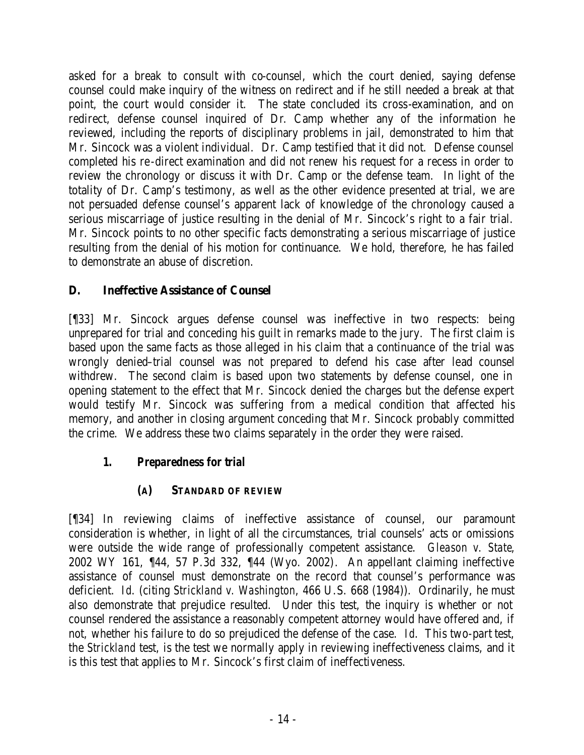asked for a break to consult with co-counsel, which the court denied, saying defense counsel could make inquiry of the witness on redirect and if he still needed a break at that point, the court would consider it. The state concluded its cross-examination, and on redirect, defense counsel inquired of Dr. Camp whether any of the information he reviewed, including the reports of disciplinary problems in jail, demonstrated to him that Mr. Sincock was a violent individual. Dr. Camp testified that it did not. Defense counsel completed his re-direct examination and did not renew his request for a recess in order to review the chronology or discuss it with Dr. Camp or the defense team. In light of the totality of Dr. Camp's testimony, as well as the other evidence presented at trial, we are not persuaded defense counsel's apparent lack of knowledge of the chronology caused a serious miscarriage of justice resulting in the denial of Mr. Sincock's right to a fair trial. Mr. Sincock points to no other specific facts demonstrating a serious miscarriage of justice resulting from the denial of his motion for continuance. We hold, therefore, he has failed to demonstrate an abuse of discretion.

# **D. Ineffective Assistance of Counsel**

[¶33] Mr. Sincock argues defense counsel was ineffective in two respects: being unprepared for trial and conceding his guilt in remarks made to the jury. The first claim is based upon the same facts as those alleged in his claim that a continuance of the trial was wrongly denied–trial counsel was not prepared to defend his case after lead counsel withdrew. The second claim is based upon two statements by defense counsel, one in opening statement to the effect that Mr. Sincock denied the charges but the defense expert would testify Mr. Sincock was suffering from a medical condition that affected his memory, and another in closing argument conceding that Mr. Sincock probably committed the crime. We address these two claims separately in the order they were raised.

# *1. Preparedness for trial*

# **(A) STANDARD OF REVIEW**

[¶34] In reviewing claims of ineffective assistance of counsel, our paramount consideration is whether, in light of all the circumstances, trial counsels' acts or omissions were outside the wide range of professionally competent assistance. *Gleason v. State*, 2002 WY 161, ¶44, 57 P.3d 332, ¶44 (Wyo. 2002). An appellant claiming ineffective assistance of counsel must demonstrate on the record that counsel's performance was deficient. *Id*. (citing *Strickland v. Washington*, 466 U.S. 668 (1984)). Ordinarily, he must also demonstrate that prejudice resulted. Under this test, the inquiry is whether or not counsel rendered the assistance a reasonably competent attorney would have offered and, if not, whether his failure to do so prejudiced the defense of the case. *Id*. This two-part test, the *Strickland* test, is the test we normally apply in reviewing ineffectiveness claims, and it is this test that applies to Mr. Sincock's first claim of ineffectiveness.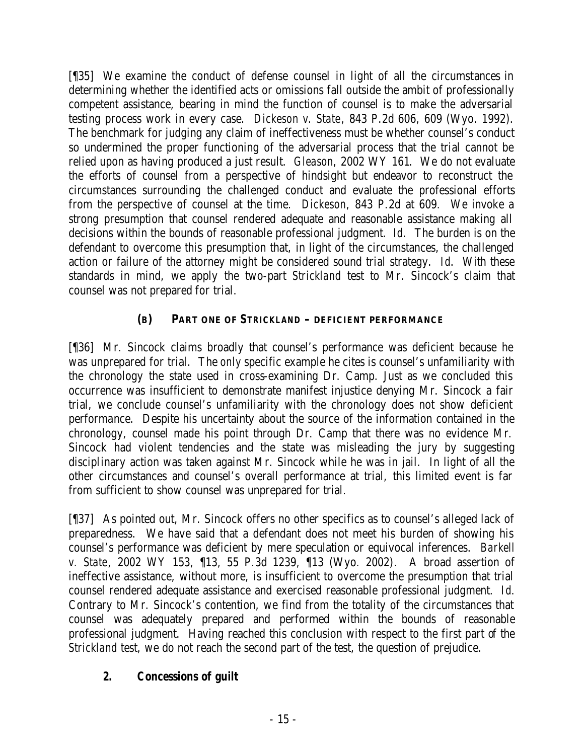[¶35] We examine the conduct of defense counsel in light of all the circumstances in determining whether the identified acts or omissions fall outside the ambit of professionally competent assistance, bearing in mind the function of counsel is to make the adversarial testing process work in every case. *Dickeson v. State*, 843 P.2d 606, 609 (Wyo. 1992). The benchmark for judging any claim of ineffectiveness must be whether counsel's conduct so undermined the proper functioning of the adversarial process that the trial cannot be relied upon as having produced a just result. *Gleason*, 2002 WY 161. We do not evaluate the efforts of counsel from a perspective of hindsight but endeavor to reconstruct the circumstances surrounding the challenged conduct and evaluate the professional efforts from the perspective of counsel at the time. *Dickeson*, 843 P.2d at 609*.* We invoke a strong presumption that counsel rendered adequate and reasonable assistance making all decisions within the bounds of reasonable professional judgment. *Id.* The burden is on the defendant to overcome this presumption that, in light of the circumstances, the challenged action or failure of the attorney might be considered sound trial strategy. *Id*. With these standards in mind, we apply the two-part *Strickland* test to Mr. Sincock's claim that counsel was not prepared for trial.

# **(B) PART ONE OF** *STRICKLAND* **– DEFICIENT PERFORMANCE**

[¶36] Mr. Sincock claims broadly that counsel's performance was deficient because he was unprepared for trial. The *only* specific example he cites is counsel's unfamiliarity with the chronology the state used in cross-examining Dr. Camp. Just as we concluded this occurrence was insufficient to demonstrate manifest injustice denying Mr. Sincock a fair trial, we conclude counsel's unfamiliarity with the chronology does not show deficient performance. Despite his uncertainty about the source of the information contained in the chronology, counsel made his point through Dr. Camp that there was no evidence Mr. Sincock had violent tendencies and the state was misleading the jury by suggesting disciplinary action was taken against Mr. Sincock while he was in jail. In light of all the other circumstances and counsel's overall performance at trial, this limited event is far from sufficient to show counsel was unprepared for trial.

[¶37] As pointed out, Mr. Sincock offers no other specifics as to counsel's alleged lack of preparedness. We have said that a defendant does not meet his burden of showing his counsel's performance was deficient by mere speculation or equivocal inferences. *Barkell v. State*, 2002 WY 153, ¶13, 55 P.3d 1239, ¶13 (Wyo. 2002). A broad assertion of ineffective assistance, without more, is insufficient to overcome the presumption that trial counsel rendered adequate assistance and exercised reasonable professional judgment. *Id*. Contrary to Mr. Sincock's contention, we find from the totality of the circumstances that counsel was adequately prepared and performed within the bounds of reasonable professional judgment. Having reached this conclusion with respect to the first part of the *Strickland* test, we do not reach the second part of the test, the question of prejudice.

# *2. Concessions of guilt*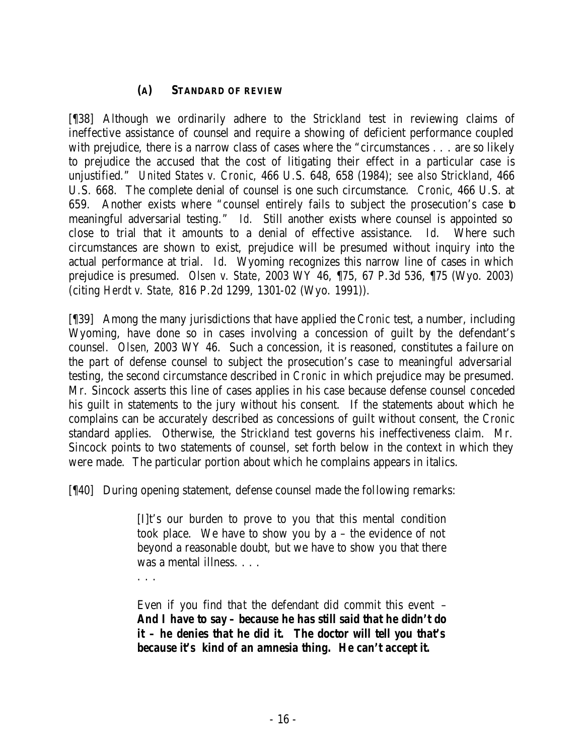### **(A) STANDARD OF REVIEW**

[¶38] Although we ordinarily adhere to the *Strickland* test in reviewing claims of ineffective assistance of counsel and require a showing of deficient performance coupled with prejudice, there is a narrow class of cases where the "circumstances . . . are so likely to prejudice the accused that the cost of litigating their effect in a particular case is unjustified." *United States v. Cronic*, 466 U.S. 648, 658 (1984); *see also Strickland*, 466 U.S. 668. The complete denial of counsel is one such circumstance. *Cronic*, 466 U.S. at 659. Another exists where "counsel entirely fails to subject the prosecution's case to meaningful adversarial testing." *Id.* Still another exists where counsel is appointed so close to trial that it amounts to a denial of effective assistance. *Id*. Where such circumstances are shown to exist, prejudice will be presumed without inquiry into the actual performance at trial. *Id*. Wyoming recognizes this narrow line of cases in which prejudice is presumed. *Olsen v. State*, 2003 WY 46, ¶75, 67 P.3d 536, ¶75 (Wyo. 2003) (citing *Herdt v. State,* 816 P.2d 1299, 1301-02 (Wyo. 1991)).

[¶39] Among the many jurisdictions that have applied the *Cronic* test, a number, including Wyoming, have done so in cases involving a concession of guilt by the defendant's counsel. *Olsen*, 2003 WY 46. Such a concession, it is reasoned, constitutes a failure on the part of defense counsel to subject the prosecution's case to meaningful adversarial testing, the second circumstance described in *Cronic* in which prejudice may be presumed. Mr. Sincock asserts this line of cases applies in his case because defense counsel conceded his guilt in statements to the jury without his consent. If the statements about which he complains can be accurately described as concessions of guilt without consent, the *Cronic* standard applies. Otherwise, the *Strickland* test governs his ineffectiveness claim. Mr. Sincock points to two statements of counsel, set forth below in the context in which they were made. The particular portion about which he complains appears in italics.

[¶40] During opening statement, defense counsel made the following remarks:

[I]t's our burden to prove to you that this mental condition took place. We have to show you by a – the evidence of not beyond a reasonable doubt, but we have to show you that there was a mental illness. . . .

. . .

Even if you find that the defendant did commit this event – *And I have to say – because he has still said that he didn't do it – he denies that he did it.**The doctor will tell you that's because it's kind of an amnesia thing. He can't accept it.*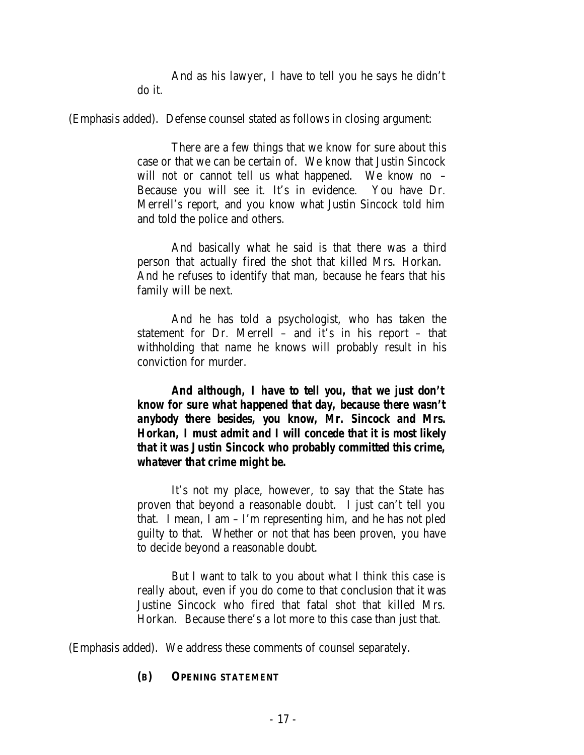And as his lawyer, I have to tell you he says he didn't do it.

(Emphasis added). Defense counsel stated as follows in closing argument:

There are a few things that we know for sure about this case or that we can be certain of. We know that Justin Sincock will not or cannot tell us what happened. We know no – Because you will see it. It's in evidence. You have Dr. Merrell's report, and you know what Justin Sincock told him and told the police and others.

And basically what he said is that there was a third person that actually fired the shot that killed Mrs. Horkan. And he refuses to identify that man, because he fears that his family will be next.

And he has told a psychologist, who has taken the statement for Dr. Merrell – and it's in his report – that withholding that name he knows will probably result in his conviction for murder.

*And although, I have to tell you, that we just don't know for sure what happened that day, because there wasn't anybody there besides, you know, Mr. Sincock and Mrs. Horkan, I must admit and I will concede that it is most likely that it was Justin Sincock who probably committed this crime, whatever that crime might be.*

It's not my place, however, to say that the State has proven that beyond a reasonable doubt. I just can't tell you that. I mean, I am – I'm representing him, and he has not pled guilty to that. Whether or not that has been proven, you have to decide beyond a reasonable doubt.

But I want to talk to you about what I think this case is really about, even if you do come to that conclusion that it was Justine Sincock who fired that fatal shot that killed Mrs. Horkan. Because there's a lot more to this case than just that.

(Emphasis added). We address these comments of counsel separately.

## **(B) OPENING STATEMENT**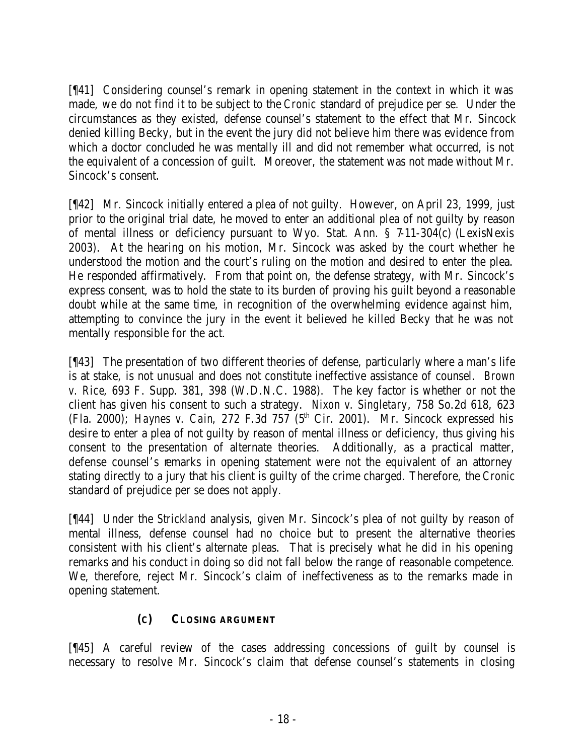[¶41] Considering counsel's remark in opening statement in the context in which it was made, we do not find it to be subject to the *Cronic* standard of prejudice per se. Under the circumstances as they existed, defense counsel's statement to the effect that Mr. Sincock denied killing Becky, but in the event the jury did not believe him there was evidence from which a doctor concluded he was mentally ill and did not remember what occurred, is not the equivalent of a concession of guilt. Moreover, the statement was not made without Mr. Sincock's consent.

[¶42] Mr. Sincock initially entered a plea of not guilty. However, on April 23, 1999, just prior to the original trial date, he moved to enter an additional plea of not guilty by reason of mental illness or deficiency pursuant to Wyo. Stat. Ann. § 7-11-304(c) (LexisNexis 2003). At the hearing on his motion, Mr. Sincock was asked by the court whether he understood the motion and the court's ruling on the motion and desired to enter the plea. He responded affirmatively. From that point on, the defense strategy, with Mr. Sincock's express consent, was to hold the state to its burden of proving his guilt beyond a reasonable doubt while at the same time, in recognition of the overwhelming evidence against him, attempting to convince the jury in the event it believed he killed Becky that he was not mentally responsible for the act.

[¶43] The presentation of two different theories of defense, particularly where a man's life is at stake, is not unusual and does not constitute ineffective assistance of counsel. *Brown v. Rice*, 693 F. Supp. 381, 398 (W.D.N.C. 1988). The key factor is whether or not the client has given his consent to such a strategy. *Nixon v. Singletary*, 758 So.2d 618, 623 (Fla. 2000); *Haynes v. Cain*, 272 F.3d 757 (5<sup>th</sup> Cir. 2001). Mr. Sincock expressed his desire to enter a plea of not guilty by reason of mental illness or deficiency, thus giving his consent to the presentation of alternate theories. Additionally, as a practical matter, defense counsel's remarks in opening statement were not the equivalent of an attorney stating directly to a jury that his client is guilty of the crime charged. Therefore, the *Cronic* standard of prejudice per se does not apply.

[¶44] Under the *Strickland* analysis, given Mr. Sincock's plea of not guilty by reason of mental illness, defense counsel had no choice but to present the alternative theories consistent with his client's alternate pleas. That is precisely what he did in his opening remarks and his conduct in doing so did not fall below the range of reasonable competence. We, therefore, reject Mr. Sincock's claim of ineffectiveness as to the remarks made in opening statement.

# **(C) CLOSING ARGUMENT**

[¶45] A careful review of the cases addressing concessions of guilt by counsel is necessary to resolve Mr. Sincock's claim that defense counsel's statements in closing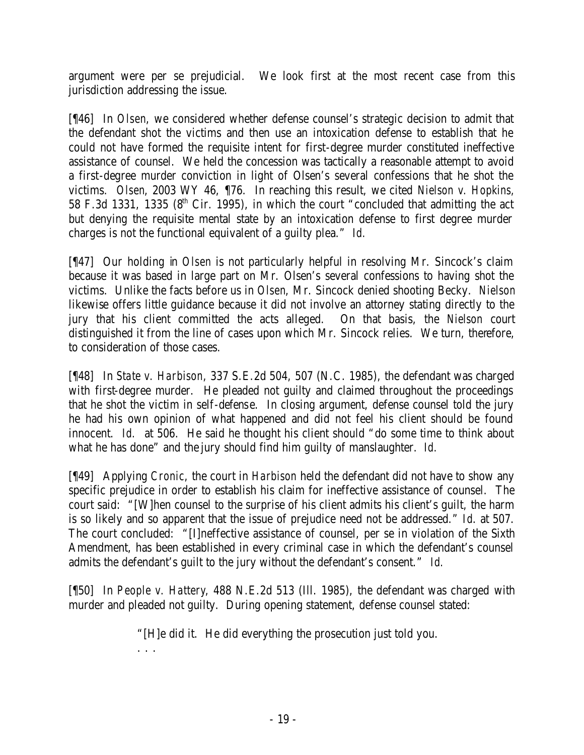argument were per se prejudicial. We look first at the most recent case from this jurisdiction addressing the issue.

[¶46] In *Olsen*, we considered whether defense counsel's strategic decision to admit that the defendant shot the victims and then use an intoxication defense to establish that he could not have formed the requisite intent for first-degree murder constituted ineffective assistance of counsel. We held the concession was tactically a reasonable attempt to avoid a first-degree murder conviction in light of Olsen's several confessions that he shot the victims. *Olsen*, 2003 WY 46, ¶76. In reaching this result, we cited *Nielson v. Hopkins,* 58 F.3d 1331, 1335 ( $8<sup>th</sup>$  Cir. 1995), in which the court "concluded that admitting the act but denying the requisite mental state by an intoxication defense to first degree murder charges is not the functional equivalent of a guilty plea." *Id.*

[¶47] Our holding in *Olsen* is not particularly helpful in resolving Mr. Sincock's claim because it was based in large part on Mr. Olsen's several confessions to having shot the victims. Unlike the facts before us in *Olsen*, Mr. Sincock denied shooting Becky. *Nielson* likewise offers little guidance because it did not involve an attorney stating directly to the jury that his client committed the acts alleged. On that basis, the *Nielson* court distinguished it from the line of cases upon which Mr. Sincock relies. We turn, therefore, to consideration of those cases.

[¶48] In *State v. Harbison*, 337 S.E.2d 504, 507 (N.C. 1985), the defendant was charged with first-degree murder. He pleaded not guilty and claimed throughout the proceedings that he shot the victim in self-defense. In closing argument, defense counsel told the jury he had his own opinion of what happened and did not feel his client should be found innocent. *Id.* at 506. He said he thought his client should "do some time to think about what he has done" and the jury should find him guilty of manslaughter. *Id.*

[¶49] Applying *Cronic*, the court in *Harbison* held the defendant did not have to show any specific prejudice in order to establish his claim for ineffective assistance of counsel. The court said: "[W]hen counsel to the surprise of his client admits his client's guilt, the harm is so likely and so apparent that the issue of prejudice need not be addressed." *Id*. at 507. The court concluded: "[I]neffective assistance of counsel, per se in violation of the Sixth Amendment, has been established in every criminal case in which the defendant's counsel admits the defendant's guilt to the jury without the defendant's consent." *Id.*

[¶50] In *People v. Hattery*, 488 N.E.2d 513 (Ill. 1985), the defendant was charged with murder and pleaded not guilty. During opening statement, defense counsel stated:

"[H]e did it. He did everything the prosecution just told you.

. . .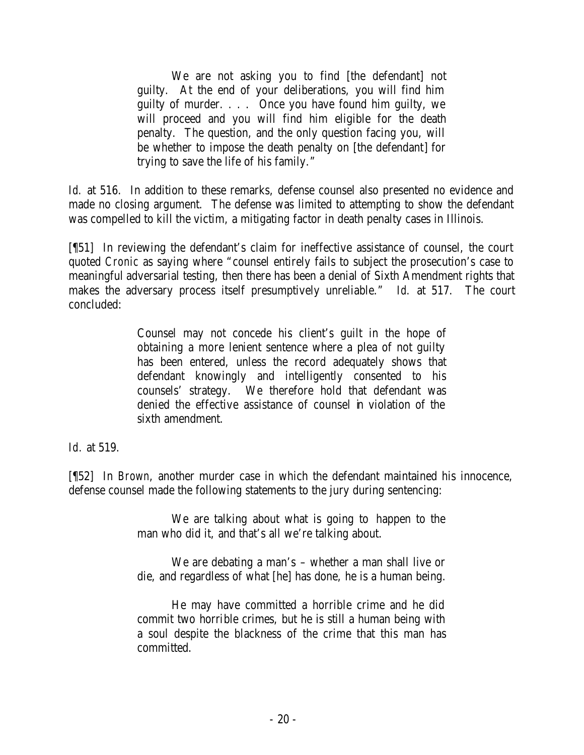We are not asking you to find [the defendant] not guilty. At the end of your deliberations, you will find him guilty of murder. . . . Once you have found him guilty, we will proceed and you will find him eligible for the death penalty. The question, and the only question facing you, will be whether to impose the death penalty on [the defendant] for trying to save the life of his family."

*Id.* at 516. In addition to these remarks, defense counsel also presented no evidence and made no closing argument. The defense was limited to attempting to show the defendant was compelled to kill the victim, a mitigating factor in death penalty cases in Illinois.

[¶51] In reviewing the defendant's claim for ineffective assistance of counsel, the court quoted *Cronic* as saying where "counsel entirely fails to subject the prosecution's case to meaningful adversarial testing, then there has been a denial of Sixth Amendment rights that makes the adversary process itself presumptively unreliable." *Id.* at 517. The court concluded:

> Counsel may not concede his client's guilt in the hope of obtaining a more lenient sentence where a plea of not guilty has been entered, unless the record adequately shows that defendant knowingly and intelligently consented to his counsels' strategy. We therefore hold that defendant was denied the effective assistance of counsel in violation of the sixth amendment.

*Id.* at 519.

[¶52] In *Brown*, another murder case in which the defendant maintained his innocence, defense counsel made the following statements to the jury during sentencing:

> We are talking about what is going to happen to the man who did it, and that's all we're talking about.

> We are debating a man's – whether a man shall live or die, and regardless of what [he] has done, he is a human being.

> He may have committed a horrible crime and he did commit two horrible crimes, but he is still a human being with a soul despite the blackness of the crime that this man has committed.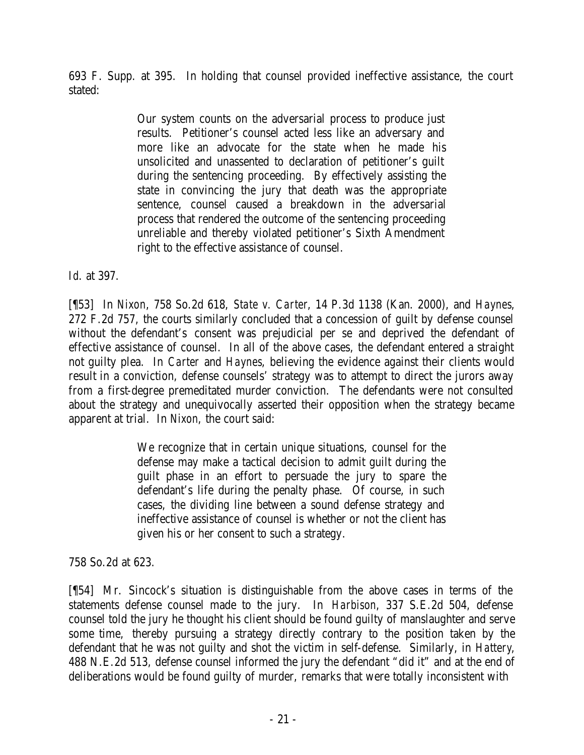693 F. Supp. at 395. In holding that counsel provided ineffective assistance, the court stated:

> Our system counts on the adversarial process to produce just results. Petitioner's counsel acted less like an adversary and more like an advocate for the state when he made his unsolicited and unassented to declaration of petitioner's guilt during the sentencing proceeding. By effectively assisting the state in convincing the jury that death was the appropriate sentence, counsel caused a breakdown in the adversarial process that rendered the outcome of the sentencing proceeding unreliable and thereby violated petitioner's Sixth Amendment right to the effective assistance of counsel.

*Id*. at 397.

[¶53] In *Nixon*, 758 So.2d 618, *State v. Carter*, 14 P.3d 1138 (Kan. 2000), and *Haynes*, 272 F.2d 757, the courts similarly concluded that a concession of guilt by defense counsel without the defendant's consent was prejudicial per se and deprived the defendant of effective assistance of counsel. In all of the above cases, the defendant entered a straight not guilty plea. In *Carter* and *Haynes*, believing the evidence against their clients would result in a conviction, defense counsels' strategy was to attempt to direct the jurors away from a first-degree premeditated murder conviction. The defendants were not consulted about the strategy and unequivocally asserted their opposition when the strategy became apparent at trial. In *Nixon*, the court said:

> We recognize that in certain unique situations, counsel for the defense may make a tactical decision to admit guilt during the guilt phase in an effort to persuade the jury to spare the defendant's life during the penalty phase. Of course, in such cases, the dividing line between a sound defense strategy and ineffective assistance of counsel is whether or not the client has given his or her consent to such a strategy.

758 So.2d at 623.

[¶54] Mr. Sincock's situation is distinguishable from the above cases in terms of the statements defense counsel made to the jury. In *Harbison*, 337 S.E.2d 504, defense counsel told the jury he thought his client should be found guilty of manslaughter and serve some time, thereby pursuing a strategy directly contrary to the position taken by the defendant that he was not guilty and shot the victim in self-defense. Similarly, in *Hattery*, 488 N.E.2d 513, defense counsel informed the jury the defendant "did it" and at the end of deliberations would be found guilty of murder, remarks that were totally inconsistent with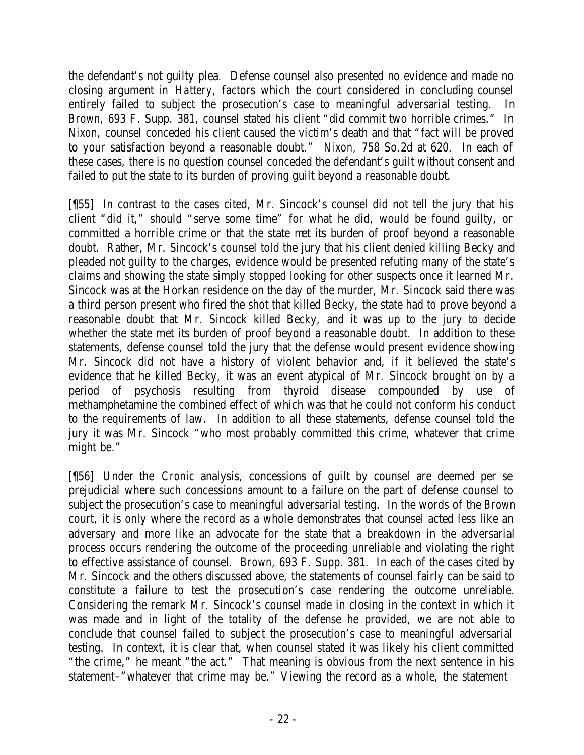the defendant's not guilty plea. Defense counsel also presented no evidence and made no closing argument in *Hattery*, factors which the court considered in concluding counsel entirely failed to subject the prosecution's case to meaningful adversarial testing. In *Brown*, 693 F. Supp. 381, counsel stated his client "did commit two horrible crimes." In *Nixon*, counsel conceded his client caused the victim's death and that "fact will be proved to your satisfaction beyond a reasonable doubt." *Nixon,* 758 So.2d at 620. In each of these cases, there is no question counsel conceded the defendant's guilt without consent and failed to put the state to its burden of proving guilt beyond a reasonable doubt.

[¶55] In contrast to the cases cited, Mr. Sincock's counsel did not tell the jury that his client "did it," should "serve some time" for what he did, would be found guilty, or committed a horrible crime or that the state met its burden of proof beyond a reasonable doubt. Rather, Mr. Sincock's counsel told the jury that his client denied killing Becky and pleaded not guilty to the charges, evidence would be presented refuting many of the state's claims and showing the state simply stopped looking for other suspects once it learned Mr. Sincock was at the Horkan residence on the day of the murder, Mr. Sincock said there was a third person present who fired the shot that killed Becky, the state had to prove beyond a reasonable doubt that Mr. Sincock killed Becky, and it was up to the jury to decide whether the state met its burden of proof beyond a reasonable doubt. In addition to these statements, defense counsel told the jury that the defense would present evidence showing Mr. Sincock did not have a history of violent behavior and, if it believed the state's evidence that he killed Becky, it was an event atypical of Mr. Sincock brought on by a period of psychosis resulting from thyroid disease compounded by use of methamphetamine the combined effect of which was that he could not conform his conduct to the requirements of law. In addition to all these statements, defense counsel told the jury it was Mr. Sincock "who most probably committed this crime, whatever that crime might be."

[¶56] Under the *Cronic* analysis, concessions of guilt by counsel are deemed per se prejudicial where such concessions amount to a failure on the part of defense counsel to subject the prosecution's case to meaningful adversarial testing. In the words of the *Brown* court, it is only where the record as a whole demonstrates that counsel acted less like an adversary and more like an advocate for the state that a breakdown in the adversarial process occurs rendering the outcome of the proceeding unreliable and violating the right to effective assistance of counsel. *Brown*, 693 F. Supp. 381. In each of the cases cited by Mr. Sincock and the others discussed above, the statements of counsel fairly can be said to constitute a failure to test the prosecution's case rendering the outcome unreliable. Considering the remark Mr. Sincock's counsel made in closing in the context in which it was made and in light of the totality of the defense he provided, we are not able to conclude that counsel failed to subject the prosecution's case to meaningful adversarial testing. In context, it is clear that, when counsel stated it was likely his client committed "the crime," he meant "the act." That meaning is obvious from the next sentence in his statement–"whatever that crime may be." Viewing the record as a whole, the statement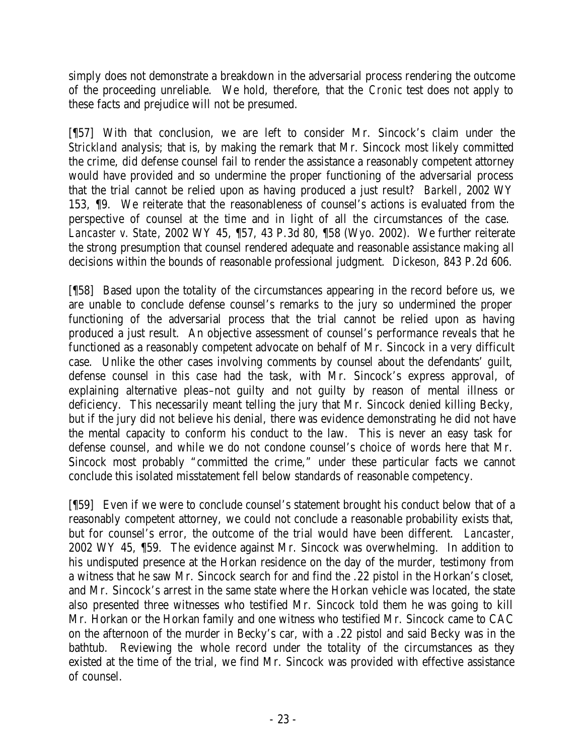simply does not demonstrate a breakdown in the adversarial process rendering the outcome of the proceeding unreliable. We hold, therefore, that the *Cronic* test does not apply to these facts and prejudice will not be presumed.

[¶57] With that conclusion, we are left to consider Mr. Sincock's claim under the *Strickland* analysis; that is, by making the remark that Mr. Sincock most likely committed the crime, did defense counsel fail to render the assistance a reasonably competent attorney would have provided and so undermine the proper functioning of the adversarial process that the trial cannot be relied upon as having produced a just result? *Barkell*, 2002 WY 153, ¶9. We reiterate that the reasonableness of counsel's actions is evaluated from the perspective of counsel at the time and in light of all the circumstances of the case. *Lancaster v. State*, 2002 WY 45, ¶57, 43 P.3d 80, ¶58 (Wyo. 2002). We further reiterate the strong presumption that counsel rendered adequate and reasonable assistance making all decisions within the bounds of reasonable professional judgment. *Dickeson*, 843 P.2d 606.

[¶58] Based upon the totality of the circumstances appearing in the record before us, we are unable to conclude defense counsel's remarks to the jury so undermined the proper functioning of the adversarial process that the trial cannot be relied upon as having produced a just result. An objective assessment of counsel's performance reveals that he functioned as a reasonably competent advocate on behalf of Mr. Sincock in a very difficult case. Unlike the other cases involving comments by counsel about the defendants' guilt, defense counsel in this case had the task, with Mr. Sincock's express approval, of explaining alternative pleas–not guilty and not guilty by reason of mental illness or deficiency. This necessarily meant telling the jury that Mr. Sincock denied killing Becky, but if the jury did not believe his denial, there was evidence demonstrating he did not have the mental capacity to conform his conduct to the law. This is never an easy task for defense counsel, and while we do not condone counsel's choice of words here that Mr. Sincock most probably "committed the crime," under these particular facts we cannot conclude this isolated misstatement fell below standards of reasonable competency.

[¶59] Even if we were to conclude counsel's statement brought his conduct below that of a reasonably competent attorney, we could not conclude a reasonable probability exists that, but for counsel's error, the outcome of the trial would have been different. *Lancaster,*  2002 WY 45, ¶59. The evidence against Mr. Sincock was overwhelming. In addition to his undisputed presence at the Horkan residence on the day of the murder, testimony from a witness that he saw Mr. Sincock search for and find the .22 pistol in the Horkan's closet, and Mr. Sincock's arrest in the same state where the Horkan vehicle was located, the state also presented three witnesses who testified Mr. Sincock told them he was going to kill Mr. Horkan or the Horkan family and one witness who testified Mr. Sincock came to CAC on the afternoon of the murder in Becky's car, with a .22 pistol and said Becky was in the bathtub. Reviewing the whole record under the totality of the circumstances as they existed at the time of the trial, we find Mr. Sincock was provided with effective assistance of counsel.